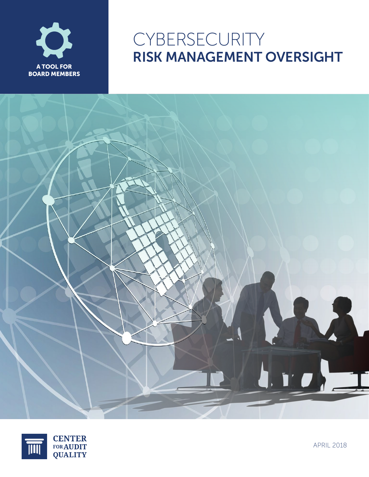

# CYBERSECURITY RISK MANAGEMENT OVERSIGHT





APRIL 2018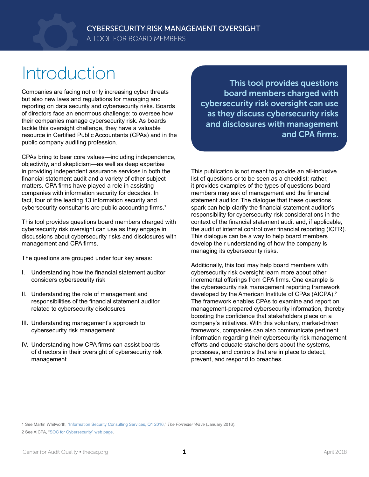# Introduction

Companies are facing not only increasing cyber threats but also new laws and regulations for managing and reporting on data security and cybersecurity risks. Boards of directors face an enormous challenge: to oversee how their companies manage cybersecurity risk. As boards tackle this oversight challenge, they have a valuable resource in Certified Public Accountants (CPAs) and in the public company auditing profession.

CPAs bring to bear core values—including independence, objectivity, and skepticism—as well as deep expertise in providing independent assurance services in both the financial statement audit and a variety of other subject matters. CPA firms have played a role in assisting companies with information security for decades. In fact, four of the leading 13 information security and cybersecurity consultants are public accounting firms.<sup>1</sup>

This tool provides questions board members charged with cybersecurity risk oversight can use as they engage in discussions about cybersecurity risks and disclosures with management and CPA firms.

The questions are grouped under four key areas:

- I. Understanding how the financial statement auditor considers cybersecurity risk
- II. Understanding the role of management and responsibilities of the financial statement auditor related to cybersecurity disclosures
- III. Understanding management's approach to cybersecurity risk management
- IV. Understanding how CPA firms can assist boards of directors in their oversight of cybersecurity risk management

This tool provides questions board members charged with cybersecurity risk oversight can use as they discuss cybersecurity risks and disclosures with management and CPA firms.

This publication is not meant to provide an all-inclusive list of questions or to be seen as a checklist; rather, it provides examples of the types of questions board members may ask of management and the financial statement auditor. The dialogue that these questions spark can help clarify the financial statement auditor's responsibility for cybersecurity risk considerations in the context of the financial statement audit and, if applicable, the audit of internal control over financial reporting (ICFR). This dialogue can be a way to help board members develop their understanding of how the company is managing its cybersecurity risks.

Additionally, this tool may help board members with cybersecurity risk oversight learn more about other incremental offerings from CPA firms. One example is the cybersecurity risk management reporting framework developed by the American Institute of CPAs (AICPA).<sup>2</sup> The framework enables CPAs to examine and report on management-prepared cybersecurity information, thereby boosting the confidence that stakeholders place on a company's initiatives. With this voluntary, market-driven framework, companies can also communicate pertinent information regarding their cybersecurity risk management efforts and educate stakeholders about the systems, processes, and controls that are in place to detect, prevent, and respond to breaches.

<sup>1</sup> See Martin Whitworth, "[Information Security Consulting Services, Q1 2016,](https://assets.kpmg.com/content/dam/kpmg/pdf/2016/04/Forrester-Wave.pdf)" *The Forrester Wave* (January 2016).

<sup>2</sup> See AICPA, "[SOC for Cybersecurity" web page](https://www.aicpa.org/cybersecurityriskmanagement).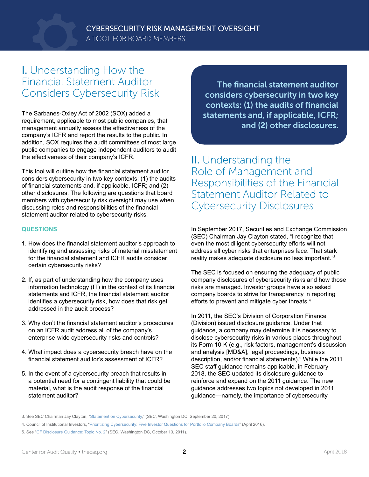

### I. Understanding How the Financial Statement Auditor Considers Cybersecurity Risk

The Sarbanes-Oxley Act of 2002 (SOX) added a requirement, applicable to most public companies, that management annually assess the effectiveness of the company's ICFR and report the results to the public. In addition, SOX requires the audit committees of most large public companies to engage independent auditors to audit the effectiveness of their company's ICFR.

This tool will outline how the financial statement auditor considers cybersecurity in two key contexts: (1) the audits of financial statements and, if applicable, ICFR; and (2) other disclosures. The following are questions that board members with cybersecurity risk oversight may use when discussing roles and responsibilities of the financial statement auditor related to cybersecurity risks.

### **QUESTIONS**

- 1. How does the financial statement auditor's approach to identifying and assessing risks of material misstatement for the financial statement and ICFR audits consider certain cybersecurity risks?
- 2. If, as part of understanding how the company uses information technology (IT) in the context of its financial statements and ICFR, the financial statement auditor identifies a cybersecurity risk, how does that risk get addressed in the audit process?
- 3. Why don't the financial statement auditor's procedures on an ICFR audit address all of the company's enterprise-wide cybersecurity risks and controls?
- 4. What impact does a cybersecurity breach have on the financial statement auditor's assessment of ICFR?
- 5. In the event of a cybersecurity breach that results in a potential need for a contingent liability that could be material, what is the audit response of the financial statement auditor?

The financial statement auditor considers cybersecurity in two key contexts: (1) the audits of financial statements and, if applicable, ICFR; and (2) other disclosures.

II. Understanding the Role of Management and Responsibilities of the Financial Statement Auditor Related to Cybersecurity Disclosures

In September 2017, Securities and Exchange Commission (SEC) Chairman Jay Clayton stated, "I recognize that even the most diligent cybersecurity efforts will not address all cyber risks that enterprises face. That stark reality makes adequate disclosure no less important."3

The SEC is focused on ensuring the adequacy of public company disclosures of cybersecurity risks and how those risks are managed. Investor groups have also asked company boards to strive for transparency in reporting efforts to prevent and mitigate cyber threats.4

In 2011, the SEC's Division of Corporation Finance (Division) issued disclosure guidance. Under that guidance, a company may determine it is necessary to disclose cybersecurity risks in various places throughout its Form 10-K (e.g., risk factors, management's discussion and analysis [MD&A], legal proceedings, business description, and/or financial statements).<sup>5</sup> While the 2011 SEC staff guidance remains applicable, in February 2018, the SEC updated its disclosure guidance to reinforce and expand on the 2011 guidance. The new guidance addresses two topics not developed in 2011 guidance—namely, the importance of cybersecurity

<sup>3.</sup> See SEC Chairman Jay Clayton, "[Statement on Cybersecurity](https://www.sec.gov/news/public-statement/statement-clayton-2017-09-20)," (SEC, Washington DC, September 20, 2017).

<sup>4.</sup> Council of Institutional Investors, "[Prioritizing Cybersecurity: Five Investor Questions for Portfolio Company Boards](http://www.cii.org/files/publications/misc/4-27-16 Prioritizing Cybersecurity.pdf)" (April 2016).

<sup>5.</sup> See "[CF Disclosure Guidance: Topic No. 2](https://www.sec.gov/divisions/corpfin/guidance/cfguidance-topic2.htm)" (SEC, Washington DC, October 13, 2011).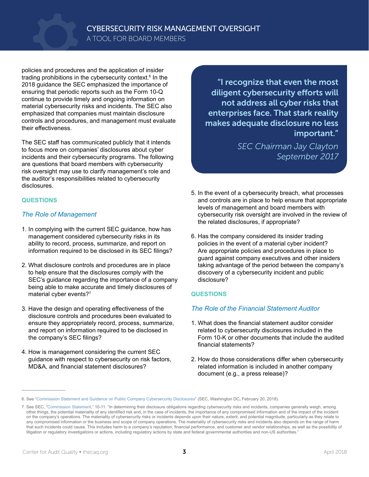policies and procedures and the application of insider trading prohibitions in the cybersecurity context.<sup>6</sup> In the 2018 guidance the SEC emphasized the importance of ensuring that periodic reports such as the Form 10-Q continue to provide timely and ongoing information on material cybersecurity risks and incidents. The SEC also emphasized that companies must maintain disclosure controls and procedures, and management must evaluate their effectiveness.

The SEC staff has communicated publicly that it intends to focus more on companies' disclosures about cyber incidents and their cybersecurity programs. The following are questions that board members with cybersecurity risk oversight may use to clarify management's role and the auditor's responsibilities related to cybersecurity disclosures.

### **QUESTIONS**

### *The Role of Management*

- 1. In complying with the current SEC guidance, how has management considered cybersecurity risks in its ability to record, process, summarize, and report on information required to be disclosed in its SEC filings?
- 2. What disclosure controls and procedures are in place to help ensure that the disclosures comply with the SEC's guidance regarding the importance of a company being able to make accurate and timely disclosures of material cyber events?7
- 3. Have the design and operating effectiveness of the disclosure controls and procedures been evaluated to ensure they appropriately record, process, summarize, and report on information required to be disclosed in the company's SEC filings?
- 4. How is management considering the current SEC guidance with respect to cybersecurity on risk factors, MD&A, and financial statement disclosures?

"I recognize that even the most diligent cybersecurity efforts will not address all cyber risks that enterprises face. That stark reality makes adequate disclosure no less important."

> *SEC Chairman Jay Clayton September 2017*

- 5. In the event of a cybersecurity breach, what processes and controls are in place to help ensure that appropriate levels of management and board members with cybersecurity risk oversight are involved in the review of the related disclosures, if appropriate?
- 6. Has the company considered its insider trading policies in the event of a material cyber incident? Are appropriate policies and procedures in place to guard against company executives and other insiders taking advantage of the period between the company's discovery of a cybersecurity incident and public disclosure?

### **QUESTIONS**

### *The Role of the Financial Statement Auditor*

- 1. What does the financial statement auditor consider related to cybersecurity disclosures included in the Form 10-K or other documents that include the audited financial statements?
- 2. How do those considerations differ when cybersecurity related information is included in another company document (e.g., a press release)?

<sup>6.</sup> See "[Commission Statement and Guidance on Public Company Cybersecurity Disclosures"](https://www.sec.gov/rules/interp/2018/33-10459.pdf) (SEC, Washington DC**,** February 20, 2018).

<sup>7.</sup> See SEC, "[Commission Statement](https://www.sec.gov/rules/interp/2018/33-10459.pdf)," 10-11: "In determining their disclosure obligations regarding cybersecurity risks and incidents, companies generally weigh, among other things, the potential materiality of any identified risk and, in the case of incidents, the importance of any compromised information and of the impact of the incident on the company's operations. The materiality of cybersecurity risks or incidents depends upon their nature, extent, and potential magnitude, particularly as they relate to any compromised information or the business and scope of company operations. The materiality of cybersecurity risks and incidents also depends on the range of harm that such incidents could cause. This includes harm to a company's reputation, financial performance, and customer and vendor relationships, as well as the possibility of litigation or regulatory investigations or actions, including regulatory actions by state and federal governmental authorities and non-US authorities.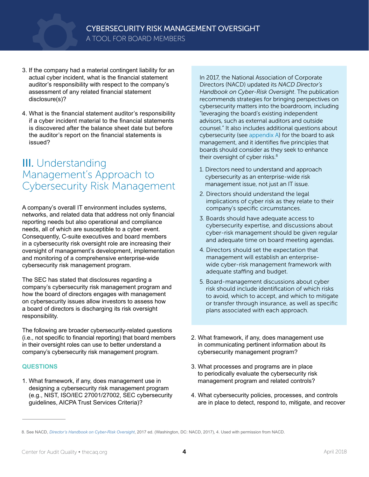- 3. If the company had a material contingent liability for an actual cyber incident, what is the financial statement auditor's responsibility with respect to the company's assessment of any related financial statement disclosure(s)?
- 4. What is the financial statement auditor's responsibility if a cyber incident material to the financial statements is discovered after the balance sheet date but before the auditor's report on the financial statements is issued?

## III. Understanding Management's Approach to Cybersecurity Risk Management

A company's overall IT environment includes systems, networks, and related data that address not only financial reporting needs but also operational and compliance needs, all of which are susceptible to a cyber event. Consequently, C-suite executives and board members in a cybersecurity risk oversight role are increasing their oversight of management's development, implementation and monitoring of a comprehensive enterprise-wide cybersecurity risk management program.

The SEC has stated that disclosures regarding a company's cybersecurity risk management program and how the board of directors engages with management on cybersecurity issues allow investors to assess how a board of directors is discharging its risk oversight responsibility.

The following are broader cybersecurity-related questions (i.e., not specific to financial reporting) that board members in their oversight roles can use to better understand a company's cybersecurity risk management program.

### **QUESTIONS**

1. What framework, if any, does management use in designing a cybersecurity risk management program (e.g., NIST, ISO/IEC 27001/27002, SEC cybersecurity guidelines, AICPA Trust Services Criteria)?

In 2017, the National Association of Corporate Directors (NACD) updated its *NACD Director's Handbook on Cyber-Risk Oversight*. The publication recommends strategies for bringing perspectives on cybersecurity matters into the boardroom, including "leveraging the board's existing independent advisors, such as external auditors and outside counsel." It also includes additional questions about cybersecurity (see [appendix A\)](#page-7-0) for the board to ask management, and it identifies five principles that boards should consider as they seek to enhance their oversight of cyber risks.<sup>8</sup>

- 1. Directors need to understand and approach cybersecurity as an enterprise-wide risk management issue, not just an IT issue.
- 2. Directors should understand the legal implications of cyber risk as they relate to their company's specific circumstances.
- 3. Boards should have adequate access to cybersecurity expertise, and discussions about cyber-risk management should be given regular and adequate time on board meeting agendas.
- 4. Directors should set the expectation that management will establish an enterprisewide cyber-risk management framework with adequate staffing and budget.
- 5. Board-management discussions about cyber risk should include identification of which risks to avoid, which to accept, and which to mitigate or transfer through insurance, as well as specific plans associated with each approach.
- 2. What framework, if any, does management use in communicating pertinent information about its cybersecurity management program?
- 3. What processes and programs are in place to periodically evaluate the cybersecurity risk management program and related controls?
- 4. What cybersecurity policies, processes, and controls are in place to detect, respond to, mitigate, and recover

<sup>8.</sup> See NACD, *[Director's Handbook on Cyber-Risk Oversight](https://www.nacdonline.org/cyber)*, 2017 ed. (Washington, DC: NACD, 2017), 4. Used with permission from NACD.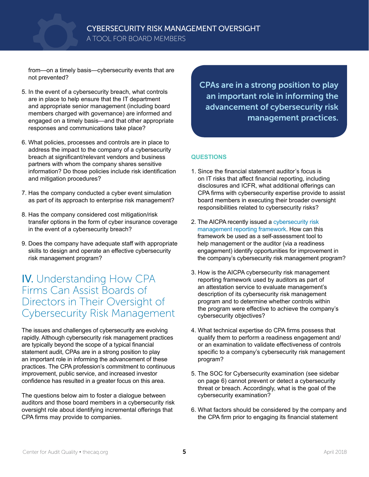

from—on a timely basis—cybersecurity events that are not prevented?

- 5. In the event of a cybersecurity breach, what controls are in place to help ensure that the IT department and appropriate senior management (including board members charged with governance) are informed and engaged on a timely basis—and that other appropriate responses and communications take place?
- 6. What policies, processes and controls are in place to address the impact to the company of a cybersecurity breach at significant/relevant vendors and business partners with whom the company shares sensitive information? Do those policies include risk identification and mitigation procedures?
- 7. Has the company conducted a cyber event simulation as part of its approach to enterprise risk management?
- 8. Has the company considered cost mitigation/risk transfer options in the form of cyber insurance coverage in the event of a cybersecurity breach?
- 9. Does the company have adequate staff with appropriate skills to design and operate an effective cybersecurity risk management program?

### IV. Understanding How CPA Firms Can Assist Boards of Directors in Their Oversight of Cybersecurity Risk Management

The issues and challenges of cybersecurity are evolving rapidly. Although cybersecurity risk management practices are typically beyond the scope of a typical financial statement audit, CPAs are in a strong position to play an important role in informing the advancement of these practices. The CPA profession's commitment to continuous improvement, public service, and increased investor confidence has resulted in a greater focus on this area.

The questions below aim to foster a dialogue between auditors and those board members in a cybersecurity risk oversight role about identifying incremental offerings that CPA firms may provide to companies.

CPAs are in a strong position to play an important role in informing the advancement of cybersecurity risk management practices.

### **QUESTIONS**

- 1. Since the financial statement auditor's focus is on IT risks that affect financial reporting, including disclosures and ICFR, what additional offerings can CPA firms with cybersecurity expertise provide to assist board members in executing their broader oversight responsibilities related to cybersecurity risks?
- 2. The AICPA recently issued a cybersecurity risk [management reporting framework.](https://www.aicpa.org/cybersecurityriskmanagement) How can this framework be used as a self-assessment tool to help management or the auditor (via a readiness engagement) identify opportunities for improvement in the company's cybersecurity risk management program?
- 3. How is the AICPA cybersecurity risk management reporting framework used by auditors as part of an attestation service to evaluate management's description of its cybersecurity risk management program and to determine whether controls within the program were effective to achieve the company's cybersecurity objectives?
- 4. What technical expertise do CPA firms possess that qualify them to perform a readiness engagement and/ or an examination to validate effectiveness of controls specific to a company's cybersecurity risk management program?
- 5. The SOC for Cybersecurity examination (see sidebar on page 6) cannot prevent or detect a cybersecurity threat or breach. Accordingly, what is the goal of the cybersecurity examination?
- 6. What factors should be considered by the company and the CPA firm prior to engaging its financial statement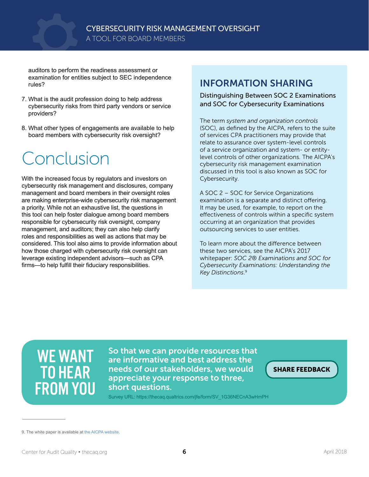auditors to perform the readiness assessment or examination for entities subject to SEC independence rules?

- 7. What is the audit profession doing to help address cybersecurity risks from third party vendors or service providers?
- 8. What other types of engagements are available to help board members with cybersecurity risk oversight?

# Conclusion

With the increased focus by regulators and investors on cybersecurity risk management and disclosures, company management and board members in their oversight roles are making enterprise-wide cybersecurity risk management a priority. While not an exhaustive list, the questions in this tool can help foster dialogue among board members responsible for cybersecurity risk oversight, company management, and auditors; they can also help clarify roles and responsibilities as well as actions that may be considered. This tool also aims to provide information about how those charged with cybersecurity risk oversight can leverage existing independent advisors—such as CPA firms—to help fulfill their fiduciary responsibilities.

### INFORMATION SHARING

### Distinguishing Between SOC 2 Examinations and SOC for Cybersecurity Examinations

The term *system and organization controls* (SOC), as defined by the AICPA, refers to the suite of services CPA practitioners may provide that relate to assurance over system-level controls of a service organization and system- or entitylevel controls of other organizations. The AICPA's cybersecurity risk management examination discussed in this tool is also known as [SOC for](https://www.aicpa.org/interestareas/frc/assuranceadvisoryservices/aicpacybersecurityinitiative.html)  [Cybersecurity](https://www.aicpa.org/interestareas/frc/assuranceadvisoryservices/aicpacybersecurityinitiative.html).

A SOC 2 – SOC for Service Organizations examination is a separate and distinct offering. It may be used, for example, to report on the effectiveness of controls within a specific system occurring at an organization that provides outsourcing services to user entities.

To learn more about the difference between these two services, see the AICPA's 2017 whitepaper: *SOC 2® Examinations and SOC for Cybersecurity Examinations: Understanding the Key Distinctions*. 9

# WE WANT TO HEAR FROM YOU

So that we can provide resources that are informative and best address the needs of our stakeholders, we would appreciate your response to three, short questions.

[SHARE FEEDBACK](https://thecaq.qualtrics.com/jfe/form/SV_1G36NECnA3wHmPH)

Survey URL: https://thecaq.qualtrics.com/jfe/form/SV\_1G36NECnA3wHmPH

<sup>9.</sup> The white paper is available at [the AICPA website](https://www.aicpa.org/content/dam/aicpa/interestareas/frc/assuranceadvisoryservices/downloadabledocuments/cybersecurity/soc-2-vs-cyber-whitepaper-web-final.pdf).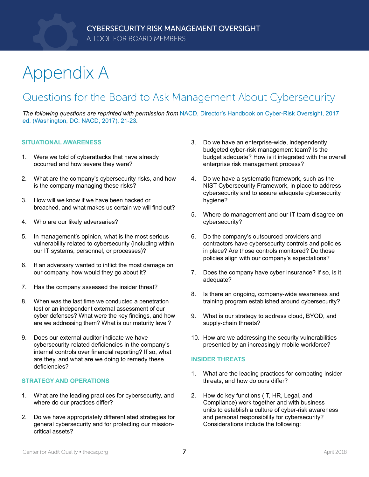# <span id="page-7-0"></span>Appendix A

## Questions for the Board to Ask Management About Cybersecurity

*The following questions are reprinted with permission from* [NACD, Director's Handbook on Cyber-Risk Oversight, 2017](https://www.nacdonline.org/Store/ProductDetail.cfm?ItemNumber=10687)  [ed. \(Washington, DC: NACD, 2017\), 21-23](https://www.nacdonline.org/Store/ProductDetail.cfm?ItemNumber=10687)*.*

### **SITUATIONAL AWARENESS**

- 1. Were we told of cyberattacks that have already occurred and how severe they were?
- 2. What are the company's cybersecurity risks, and how is the company managing these risks?
- 3. How will we know if we have been hacked or breached, and what makes us certain we will find out?
- 4. Who are our likely adversaries?
- 5. In management's opinion, what is the most serious vulnerability related to cybersecurity (including within our IT systems, personnel, or processes)?
- 6. If an adversary wanted to inflict the most damage on our company, how would they go about it?
- 7. Has the company assessed the insider threat?
- 8. When was the last time we conducted a penetration test or an independent external assessment of our cyber defenses? What were the key findings, and how are we addressing them? What is our maturity level?
- 9. Does our external auditor indicate we have cybersecurity-related deficiencies in the company's internal controls over financial reporting? If so, what are they, and what are we doing to remedy these deficiencies?

#### **STRATEGY AND OPERATIONS**

- 1. What are the leading practices for cybersecurity, and where do our practices differ?
- 2. Do we have appropriately differentiated strategies for general cybersecurity and for protecting our missioncritical assets?
- 3. Do we have an enterprise-wide, independently budgeted cyber-risk management team? Is the budget adequate? How is it integrated with the overall enterprise risk management process?
- 4. Do we have a systematic framework, such as the NIST Cybersecurity Framework, in place to address cybersecurity and to assure adequate cybersecurity hygiene?
- 5. Where do management and our IT team disagree on cybersecurity?
- 6. Do the company's outsourced providers and contractors have cybersecurity controls and policies in place? Are those controls monitored? Do those policies align with our company's expectations?
- 7. Does the company have cyber insurance? If so, is it adequate?
- 8. Is there an ongoing, company-wide awareness and training program established around cybersecurity?
- 9. What is our strategy to address cloud, BYOD, and supply-chain threats?
- 10. How are we addressing the security vulnerabilities presented by an increasingly mobile workforce?

#### **INSIDER THREATS**

- 1. What are the leading practices for combating insider threats, and how do ours differ?
- 2. How do key functions (IT, HR, Legal, and Compliance) work together and with business units to establish a culture of cyber-risk awareness and personal responsibility for cybersecurity? Considerations include the following: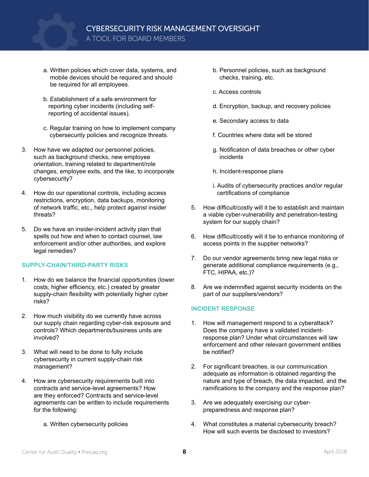A TOOL FOR BOARD MEMBERS

- a. Written policies which cover data, systems, and mobile devices should be required and should be required for all employees.
- b. Establishment of a safe environment for reporting cyber incidents (including selfreporting of accidental issues).
- c. Regular training on how to implement company cybersecurity policies and recognize threats.
- 3. How have we adapted our personnel policies, such as background checks, new employee orientation, training related to department/role changes, employee exits, and the like, to incorporate cybersecurity?
- 4. How do our operational controls, including access restrictions, encryption, data backups, monitoring of network traffic, etc., help protect against insider threats?
- 5. Do we have an insider-incident activity plan that spells out how and when to contact counsel, law enforcement and/or other authorities, and explore legal remedies?

### **SUPPLY-CHAIN/THIRD-PARTY RISKS**

- 1. How do we balance the financial opportunities (lower costs, higher efficiency, etc.) created by greater supply-chain flexibility with potentially higher cyber risks?
- 2. How much visibility do we currently have across our supply chain regarding cyber-risk exposure and controls? Which departments/business units are involved?
- 3. What will need to be done to fully include cybersecurity in current supply-chain risk management?
- 4. How are cybersecurity requirements built into contracts and service-level agreements? How are they enforced? Contracts and service-level agreements can be written to include requirements for the following:
	- a. Written cybersecurity policies
- b. Personnel policies, such as background checks, training, etc.
- c. Access controls
- d. Encryption, backup, and recovery policies
- e. Secondary access to data
- f. Countries where data will be stored
- g. Notification of data breaches or other cyber incidents
- h. Incident-response plans
- i. Audits of cybersecurity practices and/or regular certifications of compliance
- 5. How difficult/costly will it be to establish and maintain a viable cyber-vulnerability and penetration-testing system for our supply chain?
- 6. How difficult/costly will it be to enhance monitoring of access points in the supplier networks?
- 7. Do our vendor agreements bring new legal risks or generate additional compliance requirements (e.g., FTC, HIPAA, etc.)?
- 8. Are we indemnified against security incidents on the part of our suppliers/vendors?

### **INCIDENT RESPONSE**

- 1. How will management respond to a cyberattack? Does the company have a validated incidentresponse plan? Under what circumstances will law enforcement and other relevant government entities be notified?
- 2. For significant breaches, is our communication adequate as information is obtained regarding the nature and type of breach, the data impacted, and the ramifications to the company and the response plan?
- 3. Are we adequately exercising our cyberpreparedness and response plan?
- 4. What constitutes a material cybersecurity breach? How will such events be disclosed to investors?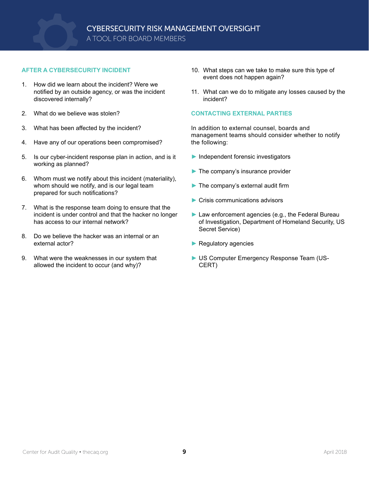

### **AFTER A CYBERSECURITY INCIDENT**

- 1. How did we learn about the incident? Were we notified by an outside agency, or was the incident discovered internally?
- 2. What do we believe was stolen?
- 3. What has been affected by the incident?
- 4. Have any of our operations been compromised?
- 5. Is our cyber-incident response plan in action, and is it working as planned?
- 6. Whom must we notify about this incident (materiality), whom should we notify, and is our legal team prepared for such notifications?
- 7. What is the response team doing to ensure that the incident is under control and that the hacker no longer has access to our internal network?
- 8. Do we believe the hacker was an internal or an external actor?
- 9. What were the weaknesses in our system that allowed the incident to occur (and why)?
- 10. What steps can we take to make sure this type of event does not happen again?
- 11. What can we do to mitigate any losses caused by the incident?

### **CONTACTING EXTERNAL PARTIES**

In addition to external counsel, boards and management teams should consider whether to notify the following:

- ► Independent forensic investigators
- $\blacktriangleright$  The company's insurance provider
- ► The company's external audit firm
- ► Crisis communications advisors
- ► Law enforcement agencies (e.g., the Federal Bureau of Investigation, Department of Homeland Security, US Secret Service)
- ► Regulatory agencies
- ► US Computer Emergency Response Team (US-CERT)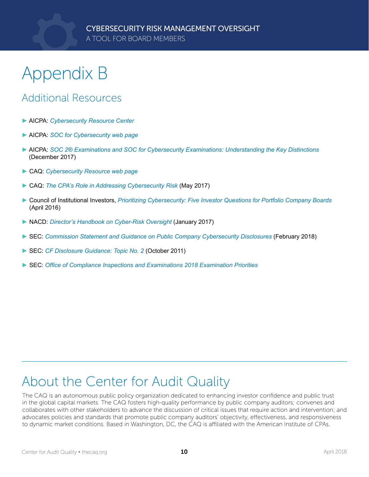# Appendix B

## Additional Resources

- ► AICPA: *[Cybersecurity Resource Center](https://www.aicpa.org/interestareas/frc/assuranceadvisoryservices/cyber-security-resource-center.html)*
- ► AICPA: *[SOC for Cybersecurity web page](https://www.aicpa.org/cybersecurityriskmanagement)*
- ► AICPA: *[SOC 2® Examinations and SOC for Cybersecurity Examinations: Understanding the Key Distinctions](https://www.aicpa.org/content/dam/aicpa/interestareas/frc/assuranceadvisoryservices/downloadabledocuments/cybersecurity/soc-2-vs-cyber-whitepaper-web-final.pdf)* (December 2017)
- ► CAQ: *[Cybersecurity Resource web page](http://www.thecaq.org/policy-issue/cybersecurity)*
- ► CAQ: *[The CPA's Role in Addressing Cybersecurity Risk](http://www.thecaq.org/cpas-role-addressing-cybersecurity-risk)* (May 2017)
- ► Council of Institutional Investors, *[Prioritizing Cybersecurity: Five Investor Questions for Portfolio Company Boards](http://www.cii.org/files/publications/misc/4-27-16 Prioritizing Cybersecurity.pdf)* (April 2016)
- ► NACD: *[Director's Handbook on Cyber-Risk Oversight](https://www.nacdonline.org/Store/ProductDetail.cfm?ItemNumber=10687)* (January 2017)
- ► SEC: *[Commission Statement and Guidance on Public Company Cybersecurity Disclosures](https://www.sec.gov/rules/interp/2018/33-10459.pdf)* (February 2018)
- ► SEC: *[CF Disclosure Guidance: Topic No. 2](https://www.sec.gov/divisions/corpfin/guidance/cfguidance-topic2.htm)* (October 2011)
- ► SEC: *[Office of Compliance Inspections and Examinations 2018 Examination Priorities](https://www.sec.gov/news/press-release/2018-12)*

## About the Center for Audit Quality

The CAQ is an autonomous public policy organization dedicated to enhancing investor confidence and public trust in the global capital markets. The CAQ fosters high-quality performance by public company auditors; convenes and collaborates with other stakeholders to advance the discussion of critical issues that require action and intervention; and advocates policies and standards that promote public company auditors' objectivity, effectiveness, and responsiveness to dynamic market conditions. Based in Washington, DC, the CAQ is affiliated with the American Institute of CPAs.